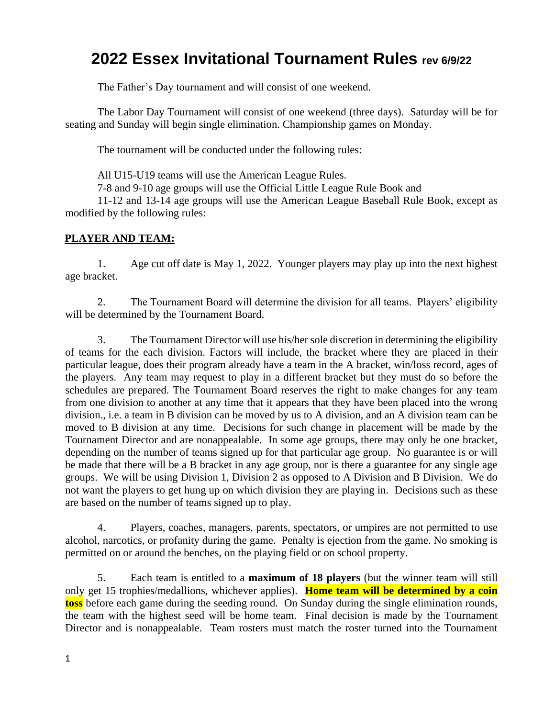# **2022 Essex Invitational Tournament Rules rev 6/9/22**

The Father's Day tournament and will consist of one weekend.

The Labor Day Tournament will consist of one weekend (three days). Saturday will be for seating and Sunday will begin single elimination. Championship games on Monday.

The tournament will be conducted under the following rules:

All U15-U19 teams will use the American League Rules.

7-8 and 9-10 age groups will use the Official Little League Rule Book and

11-12 and 13-14 age groups will use the American League Baseball Rule Book, except as modified by the following rules:

# **PLAYER AND TEAM:**

1. Age cut off date is May 1, 2022. Younger players may play up into the next highest age bracket.

2. The Tournament Board will determine the division for all teams. Players' eligibility will be determined by the Tournament Board.

3. The Tournament Director will use his/her sole discretion in determining the eligibility of teams for the each division. Factors will include, the bracket where they are placed in their particular league, does their program already have a team in the A bracket, win/loss record, ages of the players. Any team may request to play in a different bracket but they must do so before the schedules are prepared. The Tournament Board reserves the right to make changes for any team from one division to another at any time that it appears that they have been placed into the wrong division., i.e. a team in B division can be moved by us to A division, and an A division team can be moved to B division at any time. Decisions for such change in placement will be made by the Tournament Director and are nonappealable. In some age groups, there may only be one bracket, depending on the number of teams signed up for that particular age group. No guarantee is or will be made that there will be a B bracket in any age group, nor is there a guarantee for any single age groups. We will be using Division 1, Division 2 as opposed to A Division and B Division. We do not want the players to get hung up on which division they are playing in. Decisions such as these are based on the number of teams signed up to play.

4. Players, coaches, managers, parents, spectators, or umpires are not permitted to use alcohol, narcotics, or profanity during the game. Penalty is ejection from the game. No smoking is permitted on or around the benches, on the playing field or on school property.

5. Each team is entitled to a **maximum of 18 players** (but the winner team will still only get 15 trophies/medallions, whichever applies). **Home team will be determined by a coin toss** before each game during the seeding round. On Sunday during the single elimination rounds, the team with the highest seed will be home team. Final decision is made by the Tournament Director and is nonappealable. Team rosters must match the roster turned into the Tournament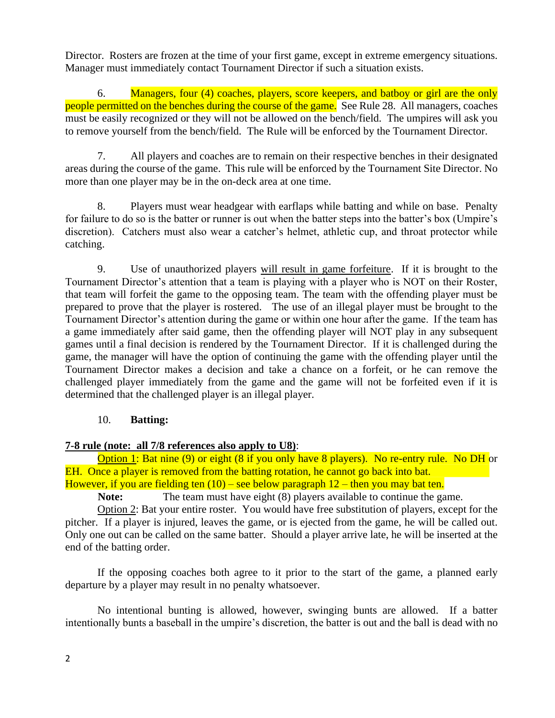Director. Rosters are frozen at the time of your first game, except in extreme emergency situations. Manager must immediately contact Tournament Director if such a situation exists.

6. Managers, four (4) coaches, players, score keepers, and batboy or girl are the only people permitted on the benches during the course of the game. See Rule 28. All managers, coaches must be easily recognized or they will not be allowed on the bench/field. The umpires will ask you to remove yourself from the bench/field. The Rule will be enforced by the Tournament Director.

7. All players and coaches are to remain on their respective benches in their designated areas during the course of the game. This rule will be enforced by the Tournament Site Director. No more than one player may be in the on-deck area at one time.

8. Players must wear headgear with earflaps while batting and while on base. Penalty for failure to do so is the batter or runner is out when the batter steps into the batter's box (Umpire's discretion). Catchers must also wear a catcher's helmet, athletic cup, and throat protector while catching.

9. Use of unauthorized players will result in game forfeiture. If it is brought to the Tournament Director's attention that a team is playing with a player who is NOT on their Roster, that team will forfeit the game to the opposing team. The team with the offending player must be prepared to prove that the player is rostered. The use of an illegal player must be brought to the Tournament Director's attention during the game or within one hour after the game. If the team has a game immediately after said game, then the offending player will NOT play in any subsequent games until a final decision is rendered by the Tournament Director. If it is challenged during the game, the manager will have the option of continuing the game with the offending player until the Tournament Director makes a decision and take a chance on a forfeit, or he can remove the challenged player immediately from the game and the game will not be forfeited even if it is determined that the challenged player is an illegal player.

# 10. **Batting:**

#### **7-8 rule (note: all 7/8 references also apply to U8)**:

Option 1: Bat nine (9) or eight (8 if you only have 8 players). No re-entry rule. No DH or EH. Once a player is removed from the batting rotation, he cannot go back into bat. However, if you are fielding ten  $(10)$  – see below paragraph  $12$  – then you may bat ten.

Note: The team must have eight (8) players available to continue the game.

Option 2: Bat your entire roster. You would have free substitution of players, except for the pitcher. If a player is injured, leaves the game, or is ejected from the game, he will be called out. Only one out can be called on the same batter. Should a player arrive late, he will be inserted at the end of the batting order.

If the opposing coaches both agree to it prior to the start of the game, a planned early departure by a player may result in no penalty whatsoever.

No intentional bunting is allowed, however, swinging bunts are allowed. If a batter intentionally bunts a baseball in the umpire's discretion, the batter is out and the ball is dead with no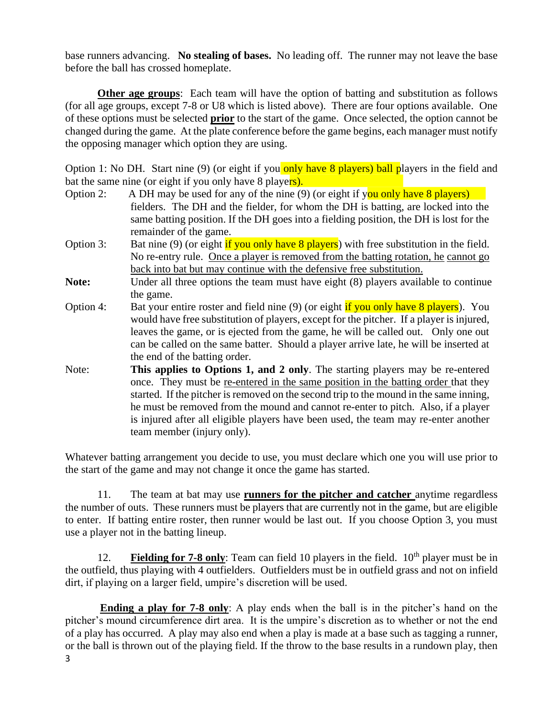base runners advancing. **No stealing of bases.** No leading off. The runner may not leave the base before the ball has crossed homeplate.

**Other age groups**: Each team will have the option of batting and substitution as follows (for all age groups, except 7-8 or U8 which is listed above). There are four options available. One of these options must be selected **prior** to the start of the game. Once selected, the option cannot be changed during the game. At the plate conference before the game begins, each manager must notify the opposing manager which option they are using.

Option 1: No DH. Start nine (9) (or eight if you only have 8 players) ball players in the field and bat the same nine (or eight if you only have 8 players).

- Option 2: A DH may be used for any of the nine (9) (or eight if you only have 8 players) fielders. The DH and the fielder, for whom the DH is batting, are locked into the same batting position. If the DH goes into a fielding position, the DH is lost for the remainder of the game.
- Option 3: Bat nine (9) (or eight  $\frac{1}{2}$  if you only have 8 players) with free substitution in the field. No re-entry rule. Once a player is removed from the batting rotation, he cannot go back into bat but may continue with the defensive free substitution.
- Note: Under all three options the team must have eight (8) players available to continue the game.
- Option 4: Bat your entire roster and field nine (9) (or eight if you only have 8 players). You would have free substitution of players, except for the pitcher. If a player is injured, leaves the game, or is ejected from the game, he will be called out. Only one out can be called on the same batter. Should a player arrive late, he will be inserted at the end of the batting order.
- Note: **This applies to Options 1, and 2 only**. The starting players may be re-entered once. They must be re-entered in the same position in the batting order that they started. If the pitcher is removed on the second trip to the mound in the same inning, he must be removed from the mound and cannot re-enter to pitch. Also, if a player is injured after all eligible players have been used, the team may re-enter another team member (injury only).

Whatever batting arrangement you decide to use, you must declare which one you will use prior to the start of the game and may not change it once the game has started.

11. The team at bat may use **runners for the pitcher and catcher** anytime regardless the number of outs. These runners must be players that are currently not in the game, but are eligible to enter. If batting entire roster, then runner would be last out. If you choose Option 3, you must use a player not in the batting lineup.

12. **Fielding for 7-8 only**: Team can field 10 players in the field.  $10<sup>th</sup>$  player must be in the outfield, thus playing with 4 outfielders. Outfielders must be in outfield grass and not on infield dirt, if playing on a larger field, umpire's discretion will be used.

3 **Ending a play for 7-8 only**: A play ends when the ball is in the pitcher's hand on the pitcher's mound circumference dirt area. It is the umpire's discretion as to whether or not the end of a play has occurred. A play may also end when a play is made at a base such as tagging a runner, or the ball is thrown out of the playing field. If the throw to the base results in a rundown play, then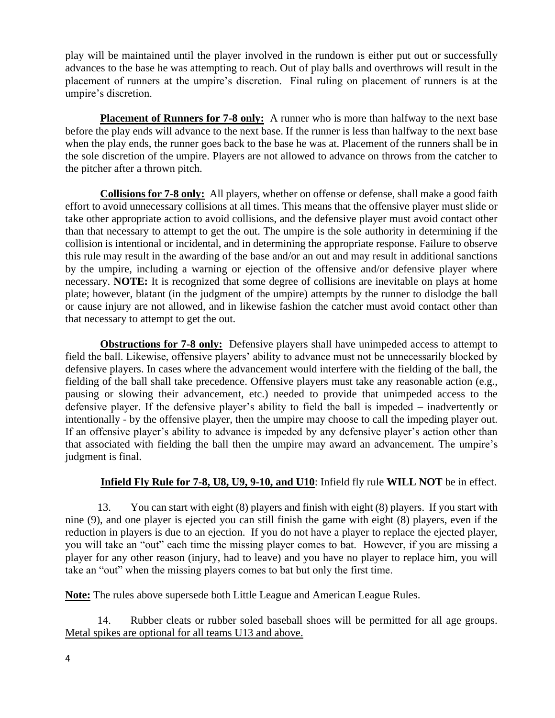play will be maintained until the player involved in the rundown is either put out or successfully advances to the base he was attempting to reach. Out of play balls and overthrows will result in the placement of runners at the umpire's discretion. Final ruling on placement of runners is at the umpire's discretion.

**Placement of Runners for 7-8 only:** A runner who is more than halfway to the next base before the play ends will advance to the next base. If the runner is less than halfway to the next base when the play ends, the runner goes back to the base he was at. Placement of the runners shall be in the sole discretion of the umpire. Players are not allowed to advance on throws from the catcher to the pitcher after a thrown pitch.

**Collisions for 7-8 only:** All players, whether on offense or defense, shall make a good faith effort to avoid unnecessary collisions at all times. This means that the offensive player must slide or take other appropriate action to avoid collisions, and the defensive player must avoid contact other than that necessary to attempt to get the out. The umpire is the sole authority in determining if the collision is intentional or incidental, and in determining the appropriate response. Failure to observe this rule may result in the awarding of the base and/or an out and may result in additional sanctions by the umpire, including a warning or ejection of the offensive and/or defensive player where necessary. **NOTE:** It is recognized that some degree of collisions are inevitable on plays at home plate; however, blatant (in the judgment of the umpire) attempts by the runner to dislodge the ball or cause injury are not allowed, and in likewise fashion the catcher must avoid contact other than that necessary to attempt to get the out.

**Obstructions for 7-8 only:** Defensive players shall have unimpeded access to attempt to field the ball. Likewise, offensive players' ability to advance must not be unnecessarily blocked by defensive players. In cases where the advancement would interfere with the fielding of the ball, the fielding of the ball shall take precedence. Offensive players must take any reasonable action (e.g., pausing or slowing their advancement, etc.) needed to provide that unimpeded access to the defensive player. If the defensive player's ability to field the ball is impeded – inadvertently or intentionally - by the offensive player, then the umpire may choose to call the impeding player out. If an offensive player's ability to advance is impeded by any defensive player's action other than that associated with fielding the ball then the umpire may award an advancement. The umpire's judgment is final.

# **Infield Fly Rule for 7-8, U8, U9, 9-10, and U10**: Infield fly rule **WILL NOT** be in effect.

13. You can start with eight (8) players and finish with eight (8) players. If you start with nine (9), and one player is ejected you can still finish the game with eight (8) players, even if the reduction in players is due to an ejection. If you do not have a player to replace the ejected player, you will take an "out" each time the missing player comes to bat. However, if you are missing a player for any other reason (injury, had to leave) and you have no player to replace him, you will take an "out" when the missing players comes to bat but only the first time.

**Note:** The rules above supersede both Little League and American League Rules.

14. Rubber cleats or rubber soled baseball shoes will be permitted for all age groups. Metal spikes are optional for all teams U13 and above.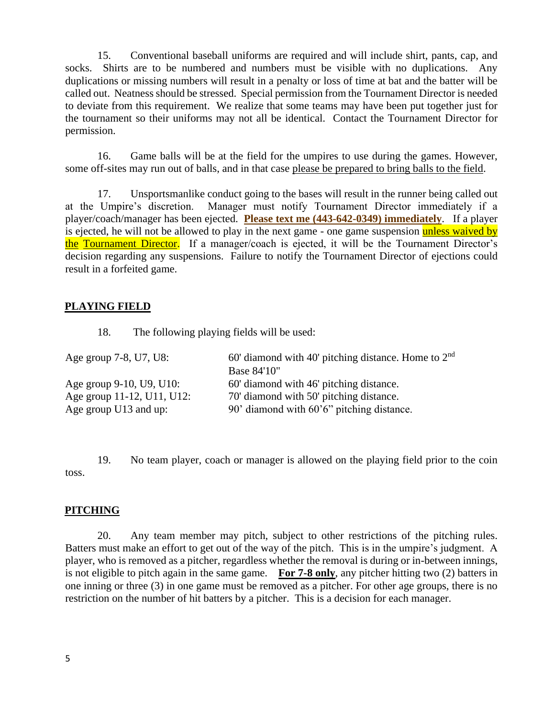15. Conventional baseball uniforms are required and will include shirt, pants, cap, and socks. Shirts are to be numbered and numbers must be visible with no duplications. Any duplications or missing numbers will result in a penalty or loss of time at bat and the batter will be called out. Neatness should be stressed. Special permission from the Tournament Director is needed to deviate from this requirement. We realize that some teams may have been put together just for the tournament so their uniforms may not all be identical. Contact the Tournament Director for permission.

16. Game balls will be at the field for the umpires to use during the games. However, some off-sites may run out of balls, and in that case please be prepared to bring balls to the field.

17. Unsportsmanlike conduct going to the bases will result in the runner being called out at the Umpire's discretion. Manager must notify Tournament Director immediately if a player/coach/manager has been ejected. **Please text me (443-642-0349) immediately**. If a player is ejected, he will not be allowed to play in the next game - one game suspension unless waived by the Tournament Director. If a manager/coach is ejected, it will be the Tournament Director's decision regarding any suspensions. Failure to notify the Tournament Director of ejections could result in a forfeited game.

# **PLAYING FIELD**

18. The following playing fields will be used:

| Age group 7-8, U7, U8:     | 60' diamond with 40' pitching distance. Home to $2nd$ |
|----------------------------|-------------------------------------------------------|
|                            | Base 84'10"                                           |
| Age group 9-10, U9, U10:   | 60' diamond with 46' pitching distance.               |
| Age group 11-12, U11, U12: | 70' diamond with 50' pitching distance.               |
| Age group U13 and up:      | 90' diamond with 60'6" pitching distance.             |

19. No team player, coach or manager is allowed on the playing field prior to the coin toss.

#### **PITCHING**

20. Any team member may pitch, subject to other restrictions of the pitching rules. Batters must make an effort to get out of the way of the pitch. This is in the umpire's judgment. A player, who is removed as a pitcher, regardless whether the removal is during or in-between innings, is not eligible to pitch again in the same game. **For 7-8 only**, any pitcher hitting two (2) batters in one inning or three (3) in one game must be removed as a pitcher. For other age groups, there is no restriction on the number of hit batters by a pitcher. This is a decision for each manager.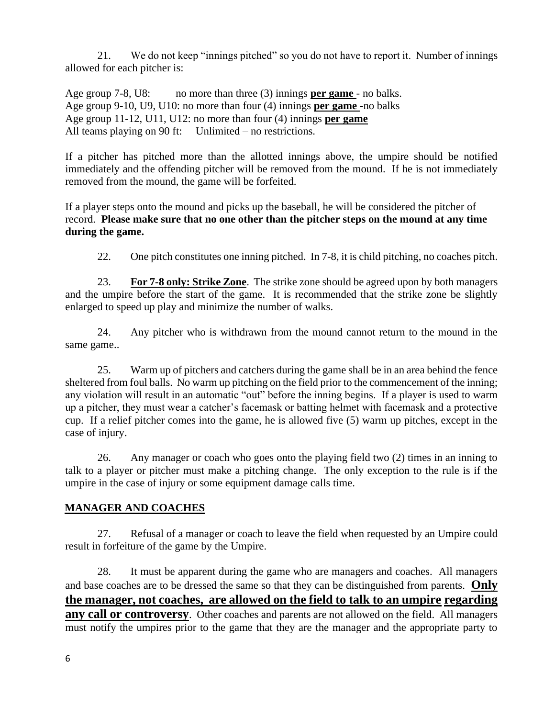21. We do not keep "innings pitched" so you do not have to report it. Number of innings allowed for each pitcher is:

Age group 7-8, U8: no more than three (3) innings **per game** - no balks. Age group 9-10, U9, U10: no more than four (4) innings **per game** -no balks Age group 11-12, U11, U12: no more than four (4) innings **per game** All teams playing on 90 ft: Unlimited – no restrictions.

If a pitcher has pitched more than the allotted innings above, the umpire should be notified immediately and the offending pitcher will be removed from the mound. If he is not immediately removed from the mound, the game will be forfeited.

If a player steps onto the mound and picks up the baseball, he will be considered the pitcher of record. **Please make sure that no one other than the pitcher steps on the mound at any time during the game.**

22. One pitch constitutes one inning pitched. In 7-8, it is child pitching, no coaches pitch.

23. **For 7-8 only: Strike Zone**. The strike zone should be agreed upon by both managers and the umpire before the start of the game. It is recommended that the strike zone be slightly enlarged to speed up play and minimize the number of walks.

24. Any pitcher who is withdrawn from the mound cannot return to the mound in the same game..

25. Warm up of pitchers and catchers during the game shall be in an area behind the fence sheltered from foul balls. No warm up pitching on the field prior to the commencement of the inning; any violation will result in an automatic "out" before the inning begins. If a player is used to warm up a pitcher, they must wear a catcher's facemask or batting helmet with facemask and a protective cup. If a relief pitcher comes into the game, he is allowed five (5) warm up pitches, except in the case of injury.

26. Any manager or coach who goes onto the playing field two (2) times in an inning to talk to a player or pitcher must make a pitching change. The only exception to the rule is if the umpire in the case of injury or some equipment damage calls time.

# **MANAGER AND COACHES**

27. Refusal of a manager or coach to leave the field when requested by an Umpire could result in forfeiture of the game by the Umpire.

28. It must be apparent during the game who are managers and coaches. All managers and base coaches are to be dressed the same so that they can be distinguished from parents. **Only the manager, not coaches, are allowed on the field to talk to an umpire regarding any call or controversy**. Other coaches and parents are not allowed on the field. All managers must notify the umpires prior to the game that they are the manager and the appropriate party to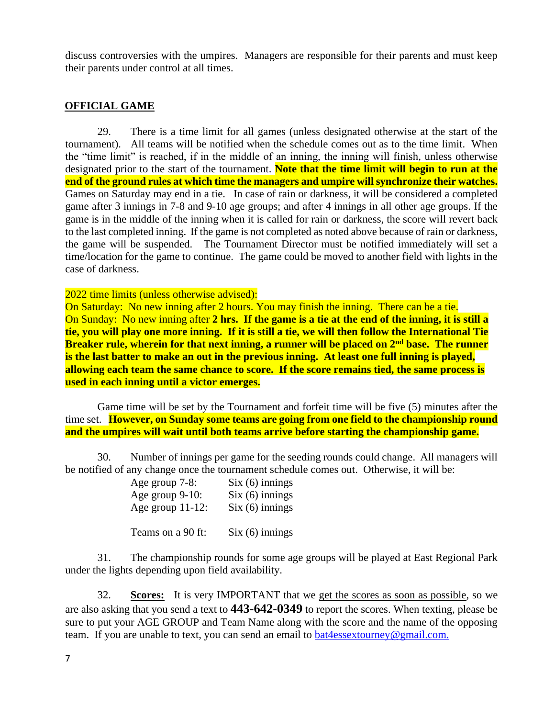discuss controversies with the umpires. Managers are responsible for their parents and must keep their parents under control at all times.

#### **OFFICIAL GAME**

29. There is a time limit for all games (unless designated otherwise at the start of the tournament). All teams will be notified when the schedule comes out as to the time limit. When the "time limit" is reached, if in the middle of an inning, the inning will finish, unless otherwise designated prior to the start of the tournament. **Note that the time limit will begin to run at the end of the ground rules at which time the managers and umpire will synchronize their watches.** Games on Saturday may end in a tie. In case of rain or darkness, it will be considered a completed game after 3 innings in 7-8 and 9-10 age groups; and after 4 innings in all other age groups. If the game is in the middle of the inning when it is called for rain or darkness, the score will revert back to the last completed inning. If the game is not completed as noted above because of rain or darkness, the game will be suspended. The Tournament Director must be notified immediately will set a time/location for the game to continue. The game could be moved to another field with lights in the case of darkness.

#### 2022 time limits (unless otherwise advised):

On Saturday: No new inning after 2 hours. You may finish the inning. There can be a tie. On Sunday: No new inning after **2 hrs. If the game is a tie at the end of the inning, it is still a tie, you will play one more inning. If it is still a tie, we will then follow the International Tie Breaker rule, wherein for that next inning, a runner will be placed on 2nd base. The runner is the last batter to make an out in the previous inning. At least one full inning is played, allowing each team the same chance to score. If the score remains tied, the same process is used in each inning until a victor emerges.** 

Game time will be set by the Tournament and forfeit time will be five (5) minutes after the time set. **However, on Sunday some teams are going from one field to the championship round and the umpires will wait until both teams arrive before starting the championship game.**

30. Number of innings per game for the seeding rounds could change. All managers will be notified of any change once the tournament schedule comes out. Otherwise, it will be:

| Age group 7-8:      | $Six (6)$ innings |
|---------------------|-------------------|
| Age group 9-10:     | $Six (6)$ innings |
| Age group $11-12$ : | $Six (6)$ innings |
|                     |                   |

Teams on a 90 ft: Six (6) innings

31. The championship rounds for some age groups will be played at East Regional Park under the lights depending upon field availability.

32. **Scores:** It is very IMPORTANT that we get the scores as soon as possible, so we are also asking that you send a text to **443-642-0349** to report the scores. When texting, please be sure to put your AGE GROUP and Team Name along with the score and the name of the opposing team. If you are unable to text, you can send an email to bat4essextourney@gmail.com.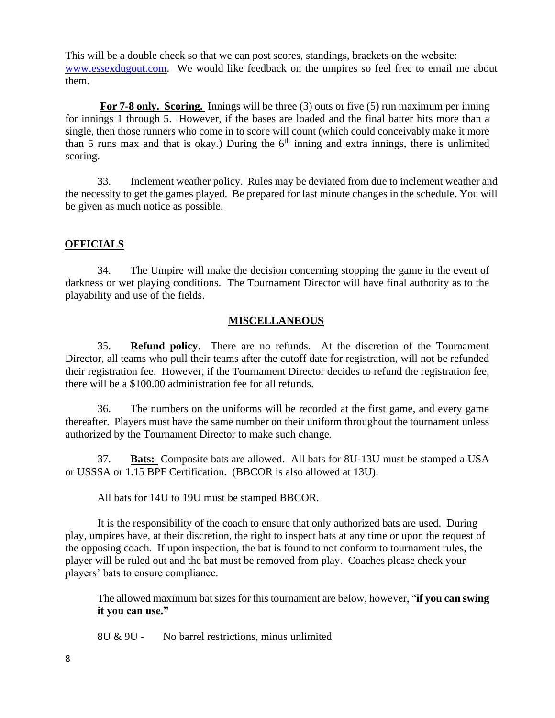This will be a double check so that we can post scores, standings, brackets on the website: www.essexdugout.com. We would like feedback on the umpires so feel free to email me about them.

**For 7-8 only. Scoring.** Innings will be three (3) outs or five (5) run maximum per inning for innings 1 through 5. However, if the bases are loaded and the final batter hits more than a single, then those runners who come in to score will count (which could conceivably make it more than 5 runs max and that is okay.) During the  $6<sup>th</sup>$  inning and extra innings, there is unlimited scoring.

33. Inclement weather policy. Rules may be deviated from due to inclement weather and the necessity to get the games played. Be prepared for last minute changes in the schedule. You will be given as much notice as possible.

#### **OFFICIALS**

34. The Umpire will make the decision concerning stopping the game in the event of darkness or wet playing conditions. The Tournament Director will have final authority as to the playability and use of the fields.

#### **MISCELLANEOUS**

35. **Refund policy**. There are no refunds. At the discretion of the Tournament Director, all teams who pull their teams after the cutoff date for registration, will not be refunded their registration fee. However, if the Tournament Director decides to refund the registration fee, there will be a \$100.00 administration fee for all refunds.

36. The numbers on the uniforms will be recorded at the first game, and every game thereafter. Players must have the same number on their uniform throughout the tournament unless authorized by the Tournament Director to make such change.

37. **Bats:** Composite bats are allowed. All bats for 8U-13U must be stamped a USA or USSSA or 1.15 BPF Certification. (BBCOR is also allowed at 13U).

All bats for 14U to 19U must be stamped BBCOR.

It is the responsibility of the coach to ensure that only authorized bats are used. During play, umpires have, at their discretion, the right to inspect bats at any time or upon the request of the opposing coach. If upon inspection, the bat is found to not conform to tournament rules, the player will be ruled out and the bat must be removed from play. Coaches please check your players' bats to ensure compliance.

The allowed maximum bat sizes for this tournament are below, however, "**if you can swing it you can use."**

8U & 9U - No barrel restrictions, minus unlimited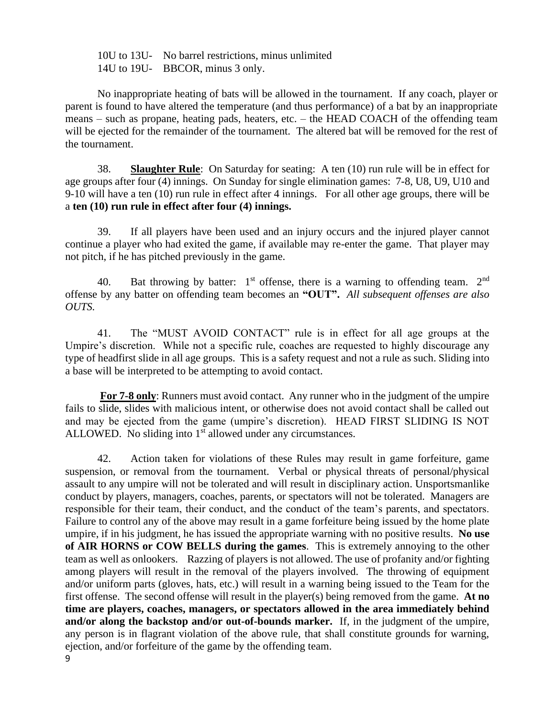10U to 13U- No barrel restrictions, minus unlimited 14U to 19U- BBCOR, minus 3 only.

No inappropriate heating of bats will be allowed in the tournament. If any coach, player or parent is found to have altered the temperature (and thus performance) of a bat by an inappropriate means – such as propane, heating pads, heaters, etc. – the HEAD COACH of the offending team will be ejected for the remainder of the tournament. The altered bat will be removed for the rest of the tournament.

38. **Slaughter Rule**: On Saturday for seating: A ten (10) run rule will be in effect for age groups after four (4) innings. On Sunday for single elimination games: 7-8, U8, U9, U10 and 9-10 will have a ten (10) run rule in effect after 4 innings. For all other age groups, there will be a **ten (10) run rule in effect after four (4) innings.** 

39. If all players have been used and an injury occurs and the injured player cannot continue a player who had exited the game, if available may re-enter the game. That player may not pitch, if he has pitched previously in the game.

40. Bat throwing by batter:  $1<sup>st</sup>$  offense, there is a warning to offending team.  $2<sup>nd</sup>$ offense by any batter on offending team becomes an **"OUT".** *All subsequent offenses are also OUTS.* 

41. The "MUST AVOID CONTACT" rule is in effect for all age groups at the Umpire's discretion. While not a specific rule, coaches are requested to highly discourage any type of headfirst slide in all age groups. This is a safety request and not a rule as such. Sliding into a base will be interpreted to be attempting to avoid contact.

**For 7-8 only**: Runners must avoid contact. Any runner who in the judgment of the umpire fails to slide, slides with malicious intent, or otherwise does not avoid contact shall be called out and may be ejected from the game (umpire's discretion). HEAD FIRST SLIDING IS NOT ALLOWED. No sliding into  $1<sup>st</sup>$  allowed under any circumstances.

42. Action taken for violations of these Rules may result in game forfeiture, game suspension, or removal from the tournament. Verbal or physical threats of personal/physical assault to any umpire will not be tolerated and will result in disciplinary action. Unsportsmanlike conduct by players, managers, coaches, parents, or spectators will not be tolerated. Managers are responsible for their team, their conduct, and the conduct of the team's parents, and spectators. Failure to control any of the above may result in a game forfeiture being issued by the home plate umpire, if in his judgment, he has issued the appropriate warning with no positive results. **No use of AIR HORNS or COW BELLS during the games**. This is extremely annoying to the other team as well as onlookers. Razzing of players is not allowed. The use of profanity and/or fighting among players will result in the removal of the players involved. The throwing of equipment and/or uniform parts (gloves, hats, etc.) will result in a warning being issued to the Team for the first offense. The second offense will result in the player(s) being removed from the game. **At no time are players, coaches, managers, or spectators allowed in the area immediately behind and/or along the backstop and/or out-of-bounds marker.** If, in the judgment of the umpire, any person is in flagrant violation of the above rule, that shall constitute grounds for warning, ejection, and/or forfeiture of the game by the offending team.